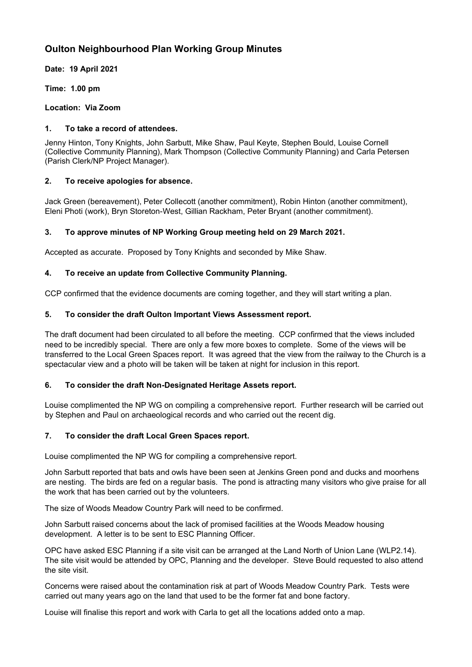# **Oulton Neighbourhood Plan Working Group Minutes**

**Date: 19 April 2021**

**Time: 1.00 pm**

**Location: Via Zoom**

# **1. To take a record of attendees.**

Jenny Hinton, Tony Knights, John Sarbutt, Mike Shaw, Paul Keyte, Stephen Bould, Louise Cornell (Collective Community Planning), Mark Thompson (Collective Community Planning) and Carla Petersen (Parish Clerk/NP Project Manager).

# **2. To receive apologies for absence.**

Jack Green (bereavement), Peter Collecott (another commitment), Robin Hinton (another commitment), Eleni Photi (work), Bryn Storeton-West, Gillian Rackham, Peter Bryant (another commitment).

# **3. To approve minutes of NP Working Group meeting held on 29 March 2021.**

Accepted as accurate. Proposed by Tony Knights and seconded by Mike Shaw.

# **4. To receive an update from Collective Community Planning.**

CCP confirmed that the evidence documents are coming together, and they will start writing a plan.

# **5. To consider the draft Oulton Important Views Assessment report.**

The draft document had been circulated to all before the meeting. CCP confirmed that the views included need to be incredibly special. There are only a few more boxes to complete. Some of the views will be transferred to the Local Green Spaces report. It was agreed that the view from the railway to the Church is a spectacular view and a photo will be taken will be taken at night for inclusion in this report.

### **6. To consider the draft Non-Designated Heritage Assets report.**

Louise complimented the NP WG on compiling a comprehensive report. Further research will be carried out by Stephen and Paul on archaeological records and who carried out the recent dig.

# **7. To consider the draft Local Green Spaces report.**

Louise complimented the NP WG for compiling a comprehensive report.

John Sarbutt reported that bats and owls have been seen at Jenkins Green pond and ducks and moorhens are nesting. The birds are fed on a regular basis. The pond is attracting many visitors who give praise for all the work that has been carried out by the volunteers.

The size of Woods Meadow Country Park will need to be confirmed.

John Sarbutt raised concerns about the lack of promised facilities at the Woods Meadow housing development. A letter is to be sent to ESC Planning Officer.

OPC have asked ESC Planning if a site visit can be arranged at the Land North of Union Lane (WLP2.14). The site visit would be attended by OPC, Planning and the developer. Steve Bould requested to also attend the site visit.

Concerns were raised about the contamination risk at part of Woods Meadow Country Park. Tests were carried out many years ago on the land that used to be the former fat and bone factory.

Louise will finalise this report and work with Carla to get all the locations added onto a map.